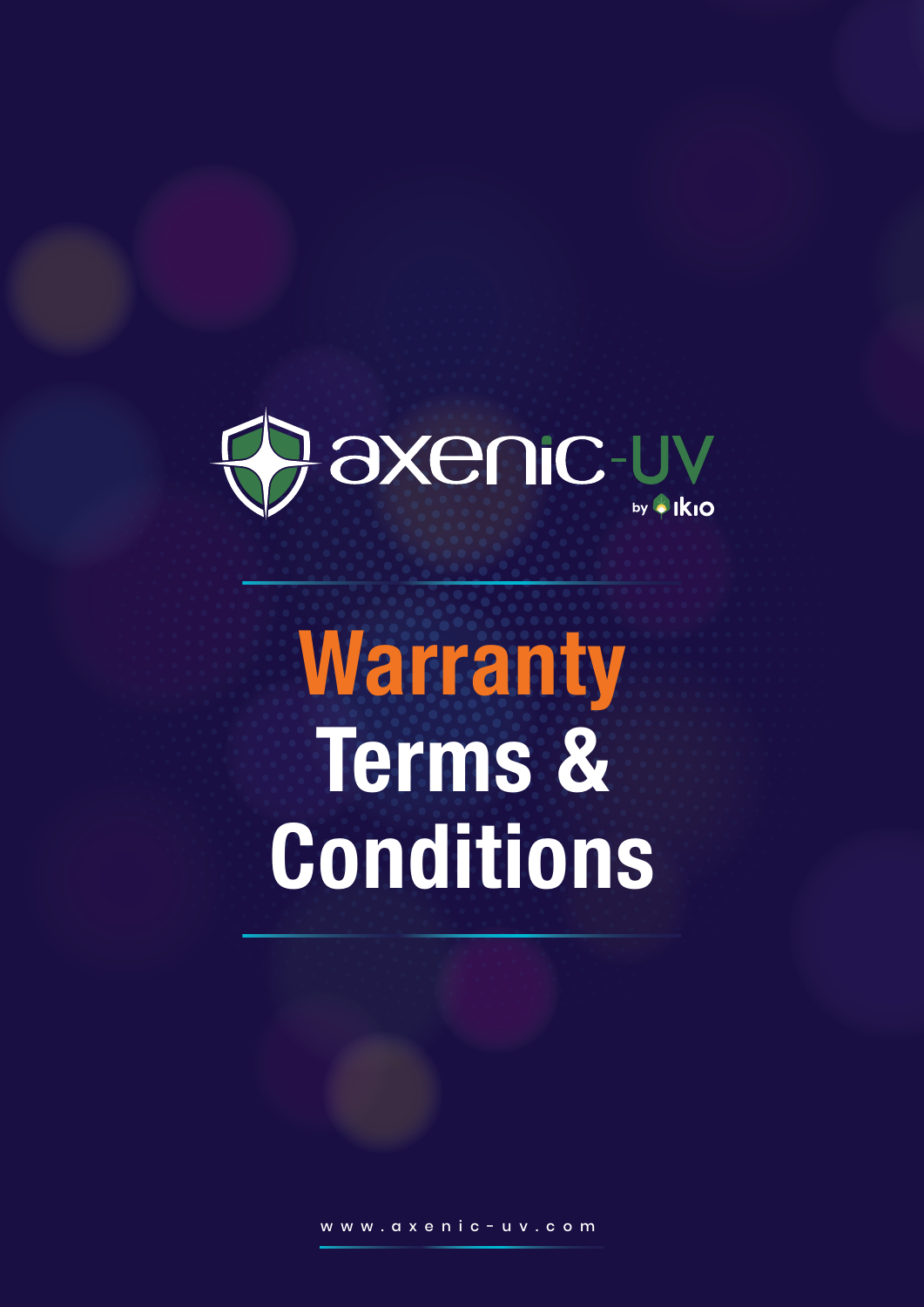

## **Warranty Terms & Conditions**